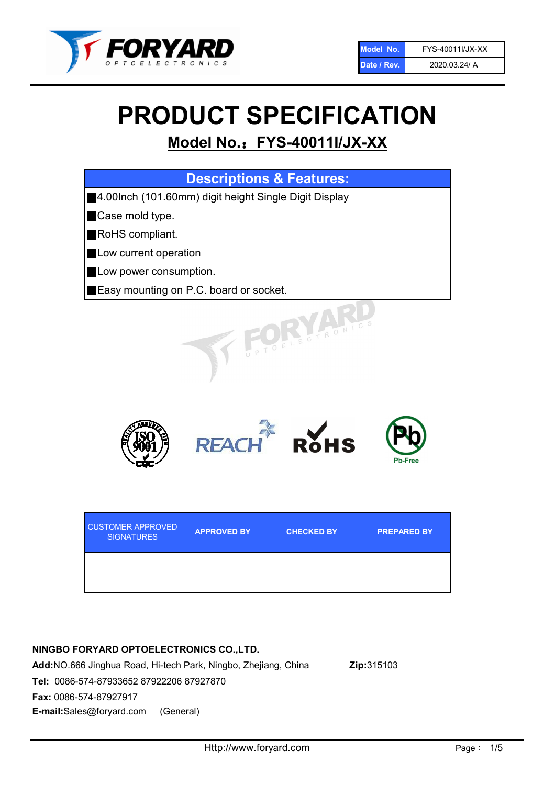

# PRODUCT SPECIFICATION

# Model No.: FYS-40011I/JX-XX

| <b>Descriptions &amp; Features:</b>                   |
|-------------------------------------------------------|
| 4.00lnch (101.60mm) digit height Single Digit Display |
| Case mold type.                                       |
| RoHS compliant.                                       |
| Low current operation                                 |
| Low power consumption.                                |
| Easy mounting on P.C. board or socket.                |
| TOELECTRONIC                                          |



| <b>CUSTOMER APPROVED</b><br><b>SIGNATURES</b> | <b>APPROVED BY</b> | <b>CHECKED BY</b> | <b>PREPARED BY</b> |
|-----------------------------------------------|--------------------|-------------------|--------------------|
|                                               |                    |                   |                    |

## NINGBO FORYARD OPTOELECTRONICS CO.,LTD.

Add:NO.666 Jinghua Road, Hi-tech Park, Ningbo, Zhejiang, China Zip:315103 Tel: 0086-574-87933652 87922206 87927870 Fax: 0086-574-87927917 E-mail:Sales@foryard.com (General)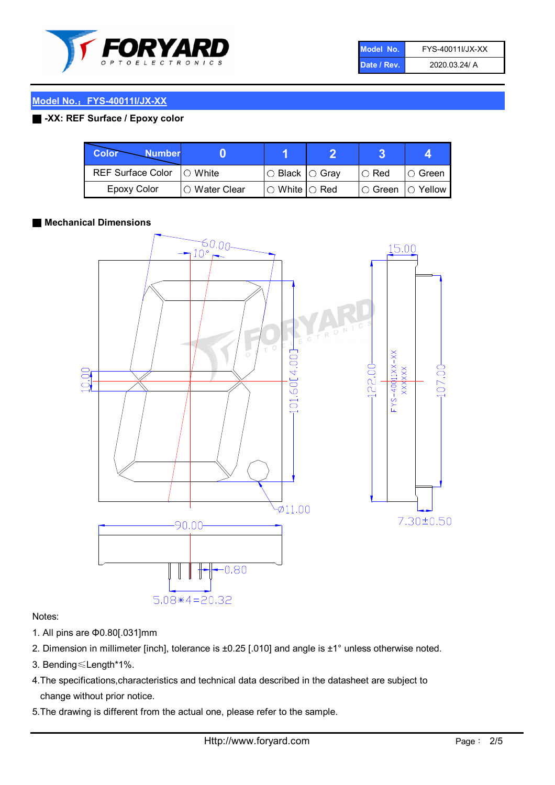

| Model No.   | FYS-40011I/JX-XX |
|-------------|------------------|
| Date / Rev. | 2020.03.24/ A    |

#### Model No.: FYS-40011I/JX-XX

#### ■ -XX: REF Surface / Epoxy color

| <b>Color</b><br><b>Number</b> |                 |                           |             | д              |
|-------------------------------|-----------------|---------------------------|-------------|----------------|
| <b>REF Surface Color</b>      | $\bigcap$ White | ○ Black  ○ Gray           | $\circ$ Red | IO Green       |
| <b>Epoxy Color</b>            | ○ Water Clear   | $\circ$ White $\circ$ Red | I⊖ Green    | $\circ$ Yellow |

#### ■ Mechanical Dimensions



#### Notes:

- 1. All pins are Φ0.80[.031]mm
- 2. Dimension in millimeter [inch], tolerance is ±0.25 [.010] and angle is ±1° unless otherwise noted.
- 3. Bending≤Length\*1%.
- 4.The specifications,characteristics and technical data described in the datasheet are subject to change without prior notice.
- 5.The drawing is different from the actual one, please refer to the sample.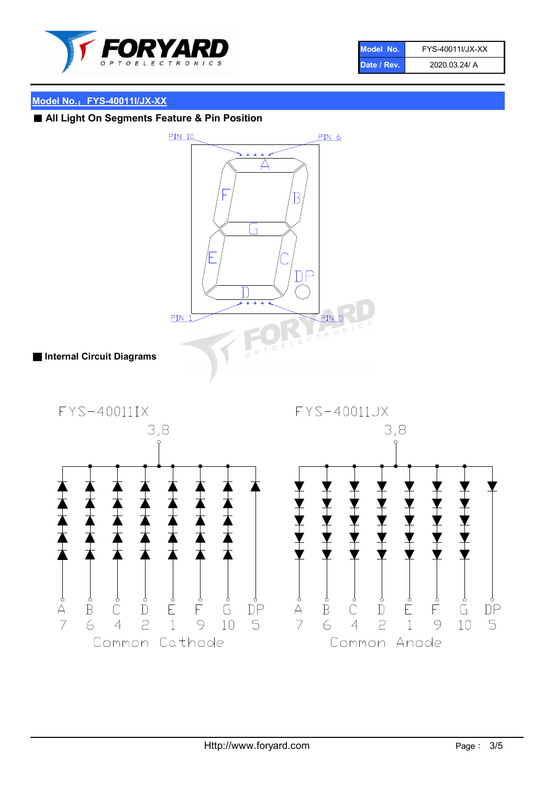

| Model No.   | FYS-40011I/JX-XX |
|-------------|------------------|
| Date / Rev. | 2020.03.24/ A    |

# Model No.: FYS-40011I/JX-XX

■ All Light On Segments Feature & Pin Position

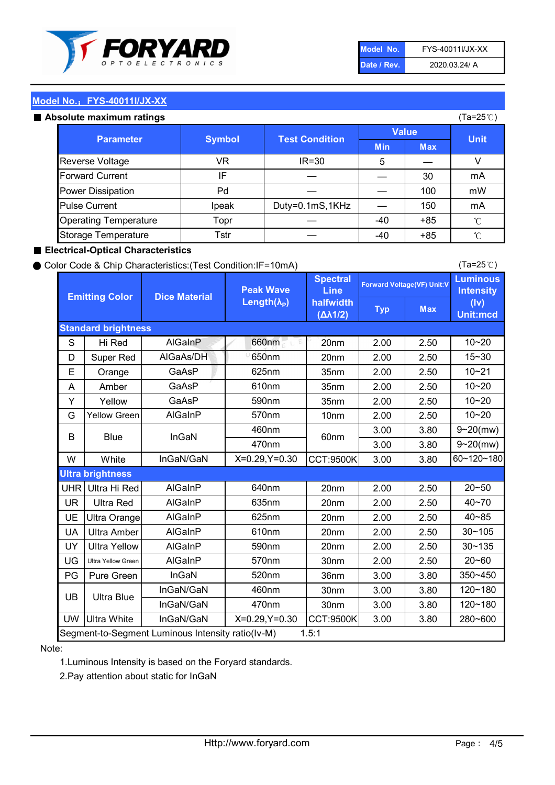

| Model No.   | FYS-40011I/JX-XX |
|-------------|------------------|
| Date / Rev. | 2020.03.24/ A    |

(Ta=25℃)

#### Model No.: FYS-40011I/JX-XX

#### Absolute maximum

| solute maximum ratings       |               |                       | (Ta=25℃)     |            |             |
|------------------------------|---------------|-----------------------|--------------|------------|-------------|
| <b>Parameter</b>             | <b>Symbol</b> | <b>Test Condition</b> | <b>Value</b> |            |             |
|                              |               |                       | <b>Min</b>   | <b>Max</b> | <b>Unit</b> |
| Reverse Voltage              | VR            | $IR = 30$             | 5            |            |             |
| <b>Forward Current</b>       | ΙF            |                       |              | 30         | mA          |
| Power Dissipation            | Pd            |                       |              | 100        | mW          |
| <b>Pulse Current</b>         | Ipeak         | Duty=0.1mS,1KHz       |              | 150        | mA          |
| <b>Operating Temperature</b> | Topr          |                       | $-40$        | $+85$      | °C          |
| Storage Temperature          | Tstr          |                       | $-40$        | $+85$      | °C          |

#### ■ Electrical-Optical Characteristics

#### ● Color Code & Chip Characteristics:(Test Condition:IF=10mA)

Typ Max S | Hi $\textsf{Red}$  | AlGaInP | 660nm LE 20nm | 2.00 | 2.50 D | Super Red | AIGaAs/DH | 650nm | 20nm | 2.00 | 2.50 E | Orange | GaAsP | 625nm | 35nm | 2.00 | 2.50 A | Amber | GaAsP | 610nm | 35nm | 2.00 | 2.50 Y | Yellow | GaAsP | 590nm | 35nm | 2.00 | 2.50 G Yellow Green AIGaInP | 570nm | 10nm | 2.00 | 2.50 3.00 3.80 3.00 3.80 W | White | InGaN/GaN | X=0.29,Y=0.30 |CCT:9500K| 3.00 | 3.80 UHR Ultra Hi Red | AlGaInP | 640nm | 20nm | 2.00 | 2.50 UR | Ultra Red | AlGaInP | 635nm | 20nm | 2.00 | 2.50 UE Ultra Orange | AIGaInP | 625nm | 20nm | 2.00 | 2.50 UA Ultra Amber | AIGaInP | 610nm | 20nm | 2.00 | 2.50  $UV$  Ultra Yellow  $\vert$  AlGaInP  $\vert$  590nm  $\vert$  20nm  $\vert$  2.00  $\vert$  2.50  $\text{UG}$  Ultra Yellow Green | AIGaInP | 570nm | 30nm | 2.00 | 2.50 PG Pure Green | InGaN | 520nm | 36nm | 3.00 | 3.80 30nm 3.00 3.80 30nm 3.00 3.80 UW |Ultra White | InGaN/GaN | X=0.29,Y=0.30 |CCT:9500K| 3.00 | 3.80 10~20 Standard brightness Forward Voltage(VF) Unit:V 15~30 10~20 10~20 625nm GaAsP 590nm **Emitting Color Dice Material** 10~21 610nm Luminous **Intensity** (Iv) Unit:mcd AlGainP 660nm GaAsP GaAsP AlGaAs/DH **Spectral** Line halfwidth (∆λ1/2) Peak Wave Length $(\lambda_{\rm P})$ UB 460nm 635nm AlGaInP AlGaInP AlGaInP InGaN/GaN AlGaInP | 570nm | 10nm | 2.00 | 2.50 | 10~20 30~105 30~135 460nm 520nm Ultra brightness **AlGaInP** AlGaInP 60nm AlGaInP 640nm Segment-to-Segment Luminous Intensity ratio(Iv-M) 1.5:1 610nm 9~20(mw) 350~450 470nm 120~180 120~180 Ultra Blue InGaN/GaN InGaN/GaN 9~20(mw) 20~50 280~600 570nm | 30nm | 2.00 | 2.50 | 20~60 470nm 590nm InGaN/GaN B Blue I InGaN 40~85 60~120~180 40~70

#### Note:

1.Luminous Intensity is based on the Foryard standards.

2.Pay attention about static for InGaN